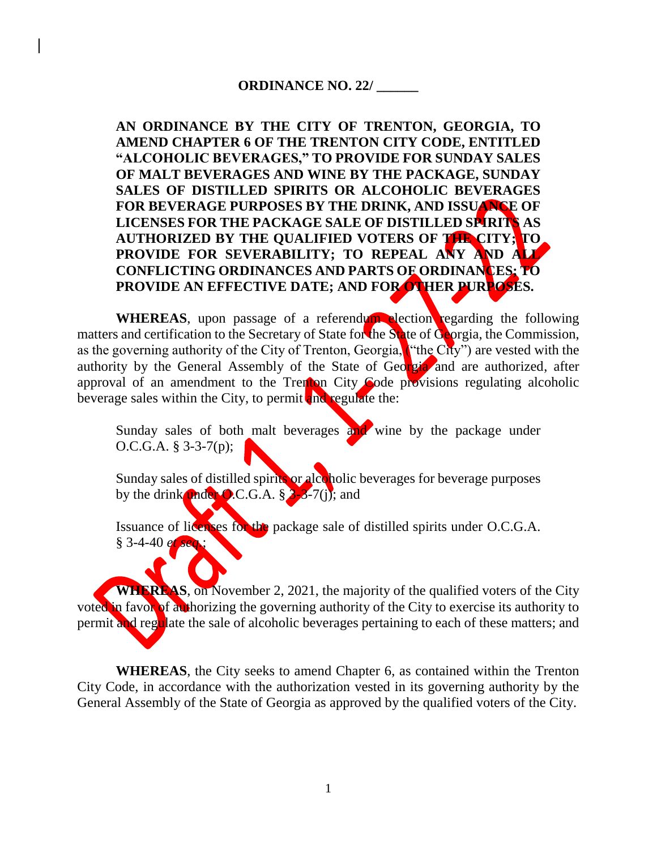# **ORDINANCE NO. 22/ \_\_\_\_\_\_**

**AN ORDINANCE BY THE CITY OF TRENTON, GEORGIA, TO AMEND CHAPTER 6 OF THE TRENTON CITY CODE, ENTITLED "ALCOHOLIC BEVERAGES," TO PROVIDE FOR SUNDAY SALES OF MALT BEVERAGES AND WINE BY THE PACKAGE, SUNDAY SALES OF DISTILLED SPIRITS OR ALCOHOLIC BEVERAGES FOR BEVERAGE PURPOSES BY THE DRINK, AND ISSUANCE OF LICENSES FOR THE PACKAGE SALE OF DISTILLED SPIRITS AS AUTHORIZED BY THE QUALIFIED VOTERS OF THE CITY; TO PROVIDE FOR SEVERABILITY; TO REPEAL ANY AND ALL CONFLICTING ORDINANCES AND PARTS OF ORDINANCES; TO PROVIDE AN EFFECTIVE DATE; AND FOR OTHER PURPOSES.**

**WHEREAS**, upon passage of a referendum election regarding the following matters and certification to the Secretary of State for the State of Georgia, the Commission, as the governing authority of the City of Trenton, Georgia, ("the City") are vested with the authority by the General Assembly of the State of Georgia and are authorized, after approval of an amendment to the Trenton City Code provisions regulating alcoholic beverage sales within the City, to permit and regulate the:

Sunday sales of both malt beverages and wine by the package under O.C.G.A. § 3-3-7(p);

Sunday sales of distilled spirits or alcoholic beverages for beverage purposes by the drink under O.C.G.A.  $\frac{8}{3}$ - $\frac{3}{6}$ -7(j); and

Issuance of licenses for the package sale of distilled spirits under O.C.G.A. § 3-4-40 *et seq.*;

**WHEREAS**, on November 2, 2021, the majority of the qualified voters of the City voted in favor of authorizing the governing authority of the City to exercise its authority to permit and regulate the sale of alcoholic beverages pertaining to each of these matters; and

**WHEREAS**, the City seeks to amend Chapter 6, as contained within the Trenton City Code, in accordance with the authorization vested in its governing authority by the General Assembly of the State of Georgia as approved by the qualified voters of the City.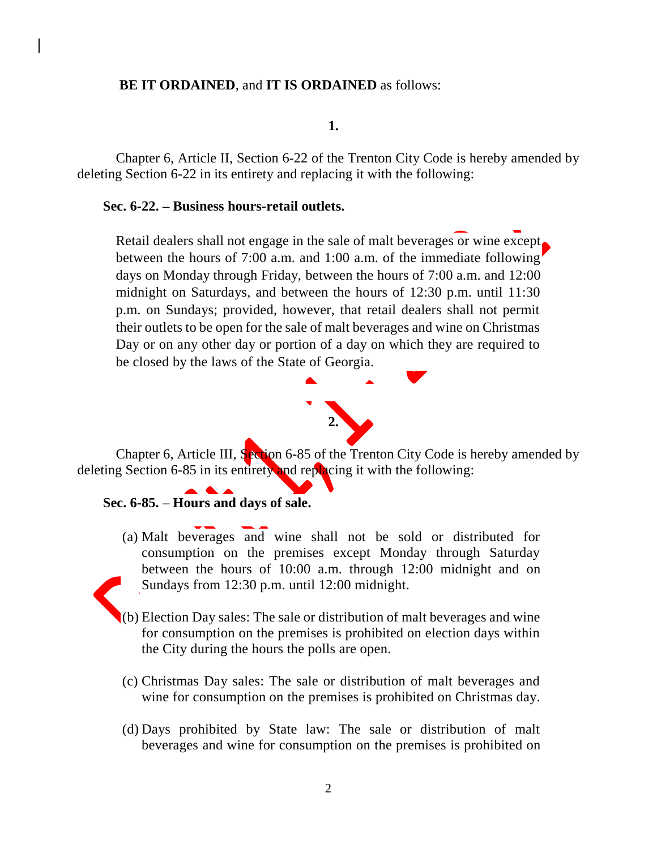# **BE IT ORDAINED**, and **IT IS ORDAINED** as follows:

#### **1.**

Chapter 6, Article II, Section 6-22 of the Trenton City Code is hereby amended by deleting Section 6-22 in its entirety and replacing it with the following:

#### **Sec. 6-22. – Business hours-retail outlets.**

Retail dealers shall not engage in the sale of malt beverages or wine except. between the hours of 7:00 a.m. and 1:00 a.m. of the immediate following days on Monday through Friday, between the hours of 7:00 a.m. and 12:00 midnight on Saturdays, and between the hours of 12:30 p.m. until 11:30 p.m. on Sundays; provided, however, that retail dealers shall not permit their outlets to be open for the sale of malt beverages and wine on Christmas Day or on any other day or portion of a day on which they are required to be closed by the laws of the State of Georgia.



Chapter 6, Article III, Section 6-85 of the Trenton City Code is hereby amended by deleting Section 6-85 in its entirety and replacing it with the following:

#### **Sec. 6-85. – Hours and days of sale.**

(a) Malt beverages and wine shall not be sold or distributed for consumption on the premises except Monday through Saturday between the hours of 10:00 a.m. through 12:00 midnight and on Sundays from 12:30 p.m. until 12:00 midnight.



- (b) Election Day sales: The sale or distribution of malt beverages and wine for consumption on the premises is prohibited on election days within the City during the hours the polls are open.
- (c) Christmas Day sales: The sale or distribution of malt beverages and wine for consumption on the premises is prohibited on Christmas day.
- (d) Days prohibited by State law: The sale or distribution of malt beverages and wine for consumption on the premises is prohibited on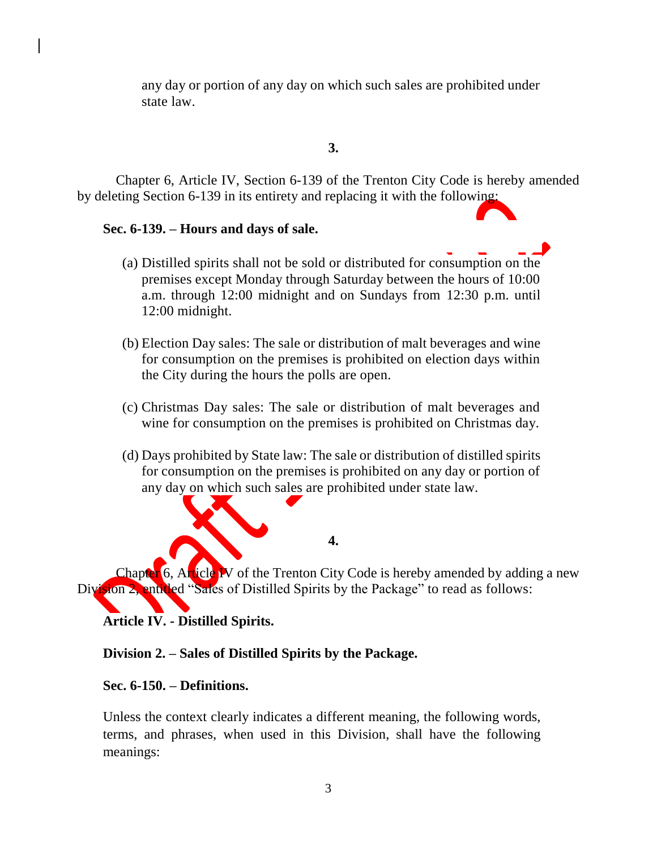any day or portion of any day on which such sales are prohibited under state law.

# **3.**

Chapter 6, Article IV, Section 6-139 of the Trenton City Code is hereby amended by deleting Section 6-139 in its entirety and replacing it with the following:

# **Sec. 6-139. – Hours and days of sale.**

- (a) Distilled spirits shall not be sold or distributed for consumption on the premises except Monday through Saturday between the hours of 10:00 a.m. through 12:00 midnight and on Sundays from 12:30 p.m. until 12:00 midnight.
- (b) Election Day sales: The sale or distribution of malt beverages and wine for consumption on the premises is prohibited on election days within the City during the hours the polls are open.
- (c) Christmas Day sales: The sale or distribution of malt beverages and wine for consumption on the premises is prohibited on Christmas day.
- (d) Days prohibited by State law: The sale or distribution of distilled spirits for consumption on the premises is prohibited on any day or portion of any day on which such sales are prohibited under state law.

**4.**

Chapter 6, Article **IV** of the Trenton City Code is hereby amended by adding a new Division 2, entitled "Sales of Distilled Spirits by the Package" to read as follows:

**Article IV. - Distilled Spirits.**

# **Division 2. – Sales of Distilled Spirits by the Package.**

# **Sec. 6-150. – Definitions.**

Unless the context clearly indicates a different meaning, the following words, terms, and phrases, when used in this Division, shall have the following meanings: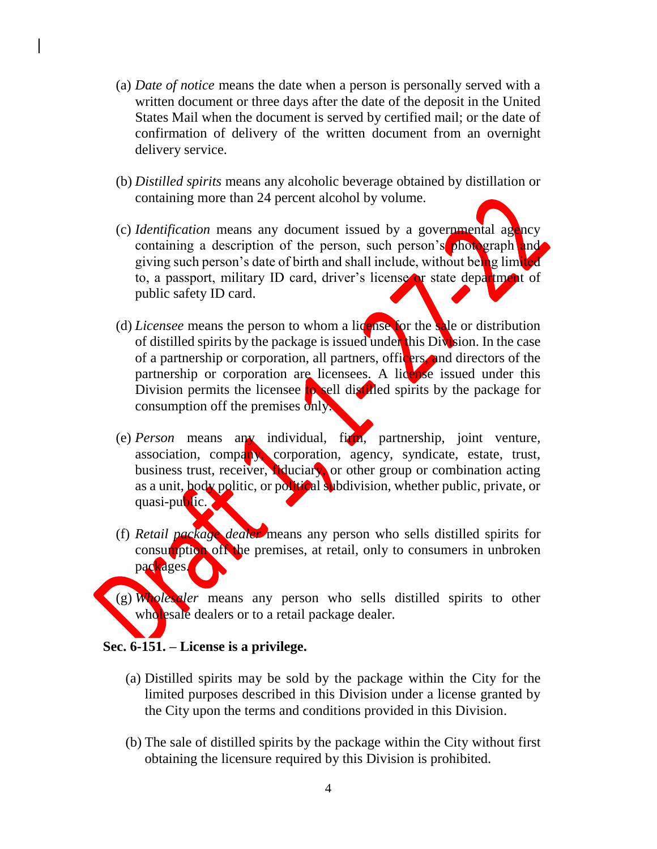- (a) *Date of notice* means the date when a person is personally served with a written document or three days after the date of the deposit in the United States Mail when the document is served by certified mail; or the date of confirmation of delivery of the written document from an overnight delivery service.
- (b) *Distilled spirits* means any alcoholic beverage obtained by distillation or containing more than 24 percent alcohol by volume.
- (c) *Identification* means any document issued by a governmental agency containing a description of the person, such person's photograph and giving such person's date of birth and shall include, without being limited to, a passport, military ID card, driver's license or state department of public safety ID card.
- (d) *Licensee* means the person to whom a license for the sale or distribution of distilled spirits by the package is issued under this Division. In the case of a partnership or corporation, all partners, officers, and directors of the partnership or corporation are licensees. A license issued under this Division permits the licensee to sell distilled spirits by the package for consumption off the premises only.
- (e) *Person* means any individual, firm, partnership, joint venture, association, company, corporation, agency, syndicate, estate, trust, business trust, receiver, fiduciary, or other group or combination acting as a unit, body politic, or political subdivision, whether public, private, or quasi-public.
- (f) *Retail package dealer* means any person who sells distilled spirits for consumption of the premises, at retail, only to consumers in unbroken packages.
- (g) *Wholesaler* means any person who sells distilled spirits to other wholesale dealers or to a retail package dealer.

# **Sec. 6-151. – License is a privilege.**

- (a) Distilled spirits may be sold by the package within the City for the limited purposes described in this Division under a license granted by the City upon the terms and conditions provided in this Division.
- (b) The sale of distilled spirits by the package within the City without first obtaining the licensure required by this Division is prohibited.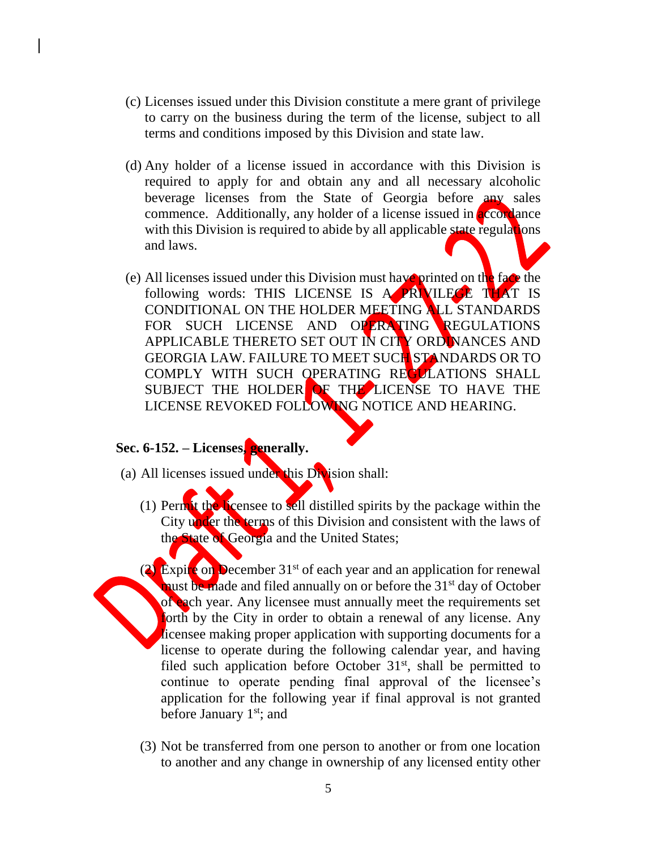- (c) Licenses issued under this Division constitute a mere grant of privilege to carry on the business during the term of the license, subject to all terms and conditions imposed by this Division and state law.
- (d) Any holder of a license issued in accordance with this Division is required to apply for and obtain any and all necessary alcoholic beverage licenses from the State of Georgia before any sales commence. Additionally, any holder of a license issued in **accordance** with this Division is required to abide by all applicable state regulations and laws.
- (e) All licenses issued under this Division must have printed on the face the following words: THIS LICENSE IS A PRIVILEGE THAT IS CONDITIONAL ON THE HOLDER MEETING ALL STANDARDS FOR SUCH LICENSE AND OPERATING REGULATIONS APPLICABLE THERETO SET OUT IN CITY ORDINANCES AND GEORGIA LAW. FAILURE TO MEET SUCH STANDARDS OR TO COMPLY WITH SUCH OPERATING RECLLATIONS SHALL SUBJECT THE HOLDER OF THE LICENSE TO HAVE THE LICENSE REVOKED FOLLOWING NOTICE AND HEARING.

# **Sec. 6-152. – Licenses, generally.**

- (a) All licenses issued under this Division shall:
	- (1) Permit the licensee to sell distilled spirits by the package within the City under the terms of this Division and consistent with the laws of the State of Georgia and the United States;
- (2) Expire on December 31<sup>st</sup> of each year and an application for renewal must be made and filed annually on or before the 31<sup>st</sup> day of October of each year. Any licensee must annually meet the requirements set forth by the City in order to obtain a renewal of any license. Any licensee making proper application with supporting documents for a license to operate during the following calendar year, and having filed such application before October  $31<sup>st</sup>$ , shall be permitted to continue to operate pending final approval of the licensee's application for the following year if final approval is not granted before January  $1<sup>st</sup>$ ; and
	- (3) Not be transferred from one person to another or from one location to another and any change in ownership of any licensed entity other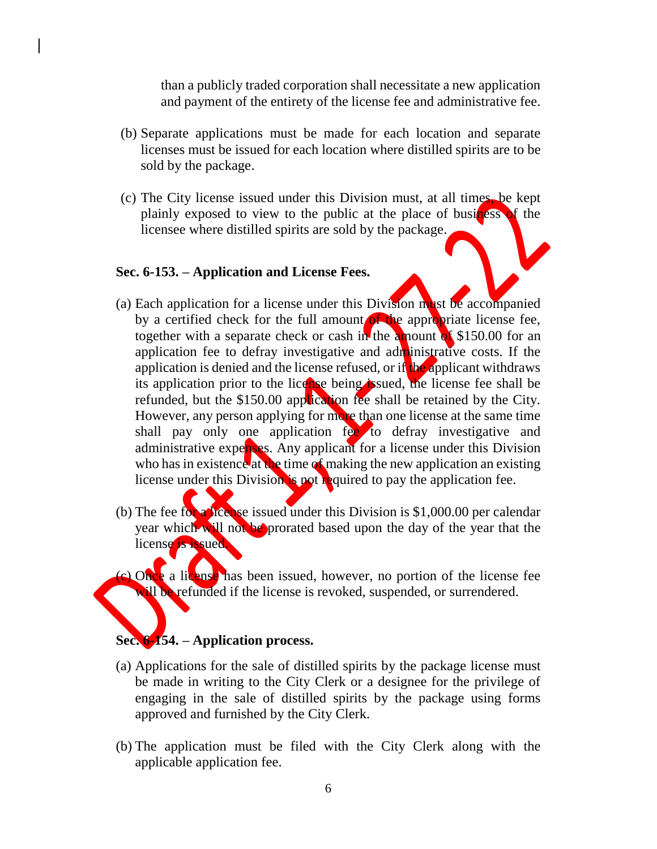than a publicly traded corporation shall necessitate a new application and payment of the entirety of the license fee and administrative fee.

- (b) Separate applications must be made for each location and separate licenses must be issued for each location where distilled spirits are to be sold by the package.
- (c) The City license issued under this Division must, at all times, be kept plainly exposed to view to the public at the place of business of the licensee where distilled spirits are sold by the package.

#### **Sec. 6-153. – Application and License Fees.**

- (a) Each application for a license under this Division must be accompanied by a certified check for the full amount of the appropriate license fee, together with a separate check or cash in the amount of  $$150.00$  for an application fee to defray investigative and administrative costs. If the application is denied and the license refused, or if the applicant withdraws its application prior to the license being issued, the license fee shall be refunded, but the \$150.00 application fee shall be retained by the City. However, any person applying for more than one license at the same time shall pay only one application fee to defray investigative and administrative expenses. Any applicant for a license under this Division who has in existence at the time of making the new application an existing license under this Division is not required to pay the application fee.
- (b) The fee for a license issued under this Division is  $$1,000.00$  per calendar year which will not be prorated based upon the day of the year that the license is issued.
- (c) Once a license has been issued, however, no portion of the license fee will be refunded if the license is revoked, suspended, or surrendered.

# **Sec. 6-154. – Application process.**

- (a) Applications for the sale of distilled spirits by the package license must be made in writing to the City Clerk or a designee for the privilege of engaging in the sale of distilled spirits by the package using forms approved and furnished by the City Clerk.
- (b) The application must be filed with the City Clerk along with the applicable application fee.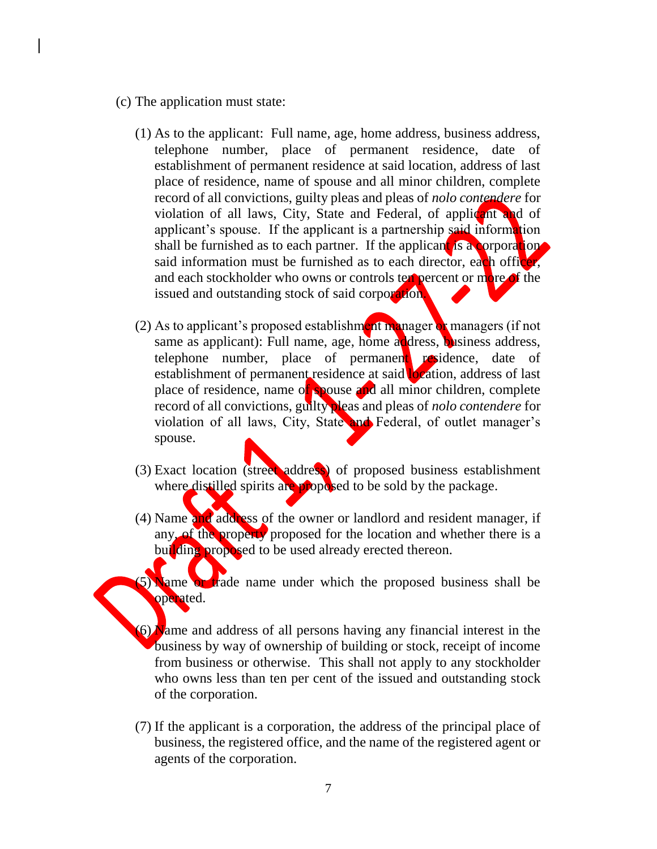- (c) The application must state:
	- (1) As to the applicant: Full name, age, home address, business address, telephone number, place of permanent residence, date of establishment of permanent residence at said location, address of last place of residence, name of spouse and all minor children, complete record of all convictions, guilty pleas and pleas of *nolo contendere* for violation of all laws, City, State and Federal, of applicant and of applicant's spouse. If the applicant is a partnership said information shall be furnished as to each partner. If the applicant is a corporation said information must be furnished as to each director, each officer, and each stockholder who owns or controls text percent or more of the issued and outstanding stock of said corporation.
	- (2) As to applicant's proposed establishment manager or managers (if not same as applicant): Full name, age, home address, business address, telephone number, place of permanent residence, date of establishment of permanent residence at said **location**, address of last place of residence, name of spouse and all minor children, complete record of all convictions, guilty pleas and pleas of *nolo contendere* for violation of all laws, City, State and Federal, of outlet manager's spouse.
	- (3) Exact location (street address) of proposed business establishment where distilled spirits are proposed to be sold by the package.
	- (4) Name and address of the owner or landlord and resident manager, if any, of the property proposed for the location and whether there is a building proposed to be used already erected thereon.
	- 5) Name or trade name under which the proposed business shall be operated.
	- $(6)$  Name and address of all persons having any financial interest in the business by way of ownership of building or stock, receipt of income from business or otherwise. This shall not apply to any stockholder who owns less than ten per cent of the issued and outstanding stock of the corporation.
	- (7) If the applicant is a corporation, the address of the principal place of business, the registered office, and the name of the registered agent or agents of the corporation.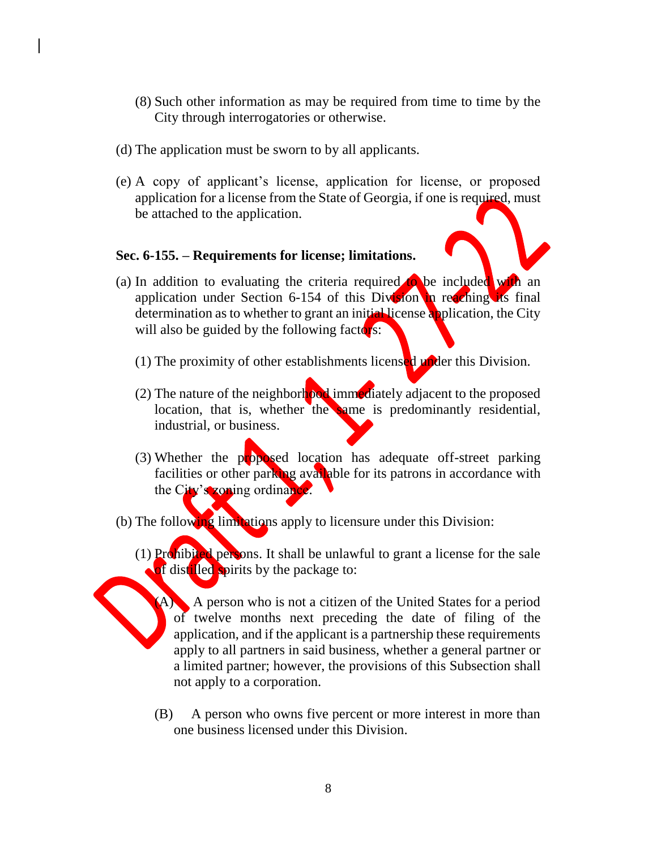- (8) Such other information as may be required from time to time by the City through interrogatories or otherwise.
- (d) The application must be sworn to by all applicants.
- (e) A copy of applicant's license, application for license, or proposed application for a license from the State of Georgia, if one is required, must be attached to the application.

## **Sec. 6-155. – Requirements for license; limitations.**

- (a) In addition to evaluating the criteria required to be included with an application under Section 6-154 of this Division in reaching its final determination as to whether to grant an initial license application, the City will also be guided by the following factors:
	- (1) The proximity of other establishments licensed under this Division.
	- (2) The nature of the neighborhood immediately adjacent to the proposed location, that is, whether the same is predominantly residential, industrial, or business.
	- (3) Whether the proposed location has adequate off-street parking facilities or other parking available for its patrons in accordance with the City's zoning ordinance.
- (b) The following limitations apply to licensure under this Division:
	- (1) Prohibited persons. It shall be unlawful to grant a license for the sale **of** distilled spirits by the package to:

(A) A person who is not a citizen of the United States for a period of twelve months next preceding the date of filing of the application, and if the applicant is a partnership these requirements apply to all partners in said business, whether a general partner or a limited partner; however, the provisions of this Subsection shall not apply to a corporation.

(B) A person who owns five percent or more interest in more than one business licensed under this Division.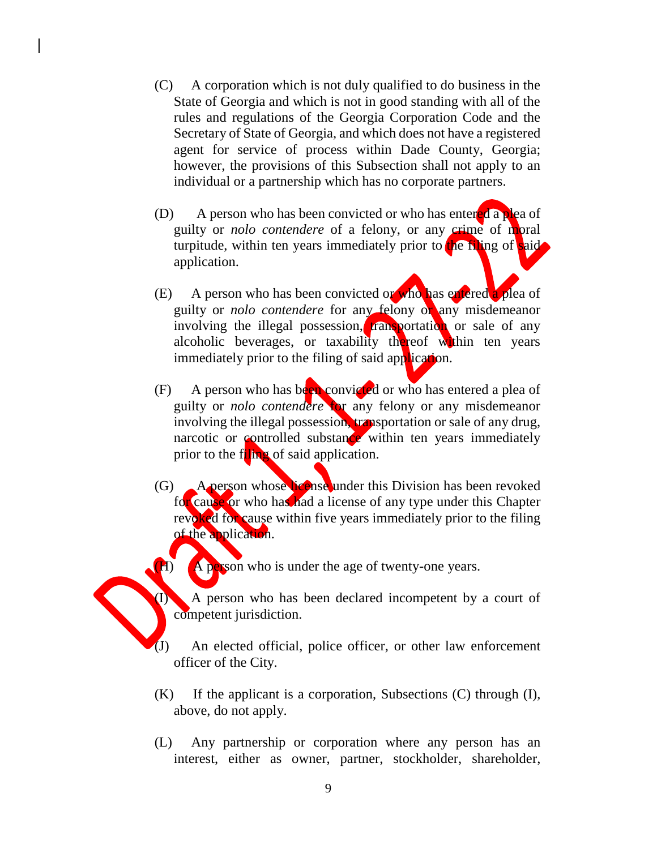- (C) A corporation which is not duly qualified to do business in the State of Georgia and which is not in good standing with all of the rules and regulations of the Georgia Corporation Code and the Secretary of State of Georgia, and which does not have a registered agent for service of process within Dade County, Georgia; however, the provisions of this Subsection shall not apply to an individual or a partnership which has no corporate partners.
- (D) A person who has been convicted or who has entered a plea of guilty or *nolo contendere* of a felony, or any crime of moral turpitude, within ten years immediately prior to the filing of said application.
- (E) A person who has been convicted or who has entered a plea of guilty or *nolo contendere* for any felony or any misdemeanor involving the illegal possession, transportation or sale of any alcoholic beverages, or taxability thereof within ten years immediately prior to the filing of said application.
- (F) A person who has been convicted or who has entered a plea of guilty or *nolo contendere* for any felony or any misdemeanor involving the illegal possession, transportation or sale of any drug, narcotic or controlled substance within ten years immediately prior to the filing of said application.
- (G) A person whose license under this Division has been revoked for cause or who has had a license of any type under this Chapter revoked for cause within five years immediately prior to the filing of the application.

(H) A person who is under the age of twenty-one years.

(I) A person who has been declared incompetent by a court of competent jurisdiction.

(J) An elected official, police officer, or other law enforcement officer of the City.

- (K) If the applicant is a corporation, Subsections (C) through (I), above, do not apply.
- (L) Any partnership or corporation where any person has an interest, either as owner, partner, stockholder, shareholder,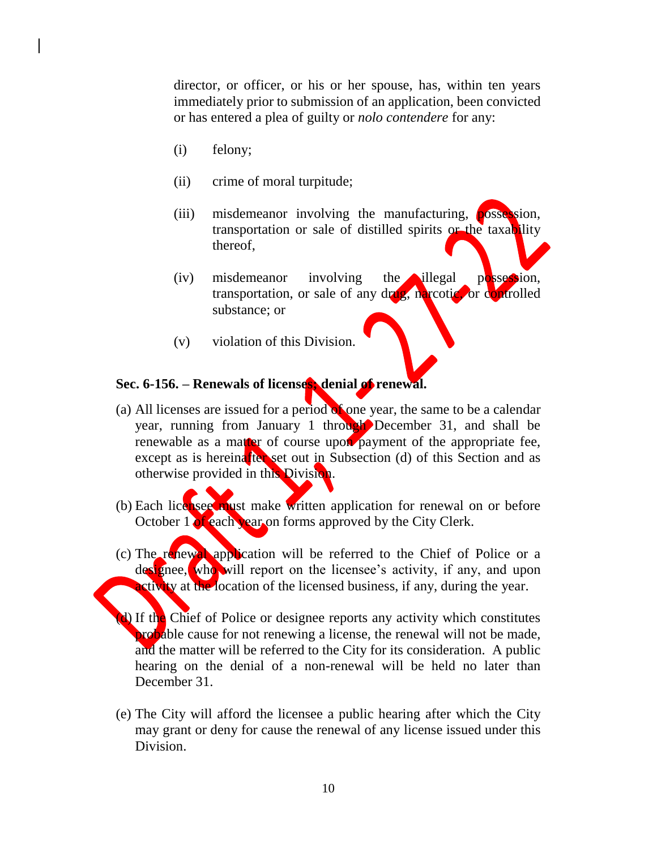director, or officer, or his or her spouse, has, within ten years immediately prior to submission of an application, been convicted or has entered a plea of guilty or *nolo contendere* for any:

- (i) felony;
- (ii) crime of moral turpitude;
- (iii) misdemeanor involving the manufacturing, **possession**, transportation or sale of distilled spirits or the taxability thereof,
- (iv) misdemeanor involving the illegal possession, transportation, or sale of any drug, narcotic, or controlled substance; or
- (v) violation of this Division.

#### **Sec. 6-156. – Renewals of licenses; denial of renewal.**

- (a) All licenses are issued for a period of one year, the same to be a calendar year, running from January 1 through December 31, and shall be renewable as a matter of course upon payment of the appropriate fee, except as is hereina<sup>fter</sup> set out in Subsection (d) of this Section and as otherwise provided in this Division.
- (b) Each licensee must make written application for renewal on or before October 1 of each year on forms approved by the City Clerk.
- (c) The renewal application will be referred to the Chief of Police or a designee, who will report on the licensee's activity, if any, and upon **Activity** at the location of the licensed business, if any, during the year.
- (b) If the Chief of Police or designee reports any activity which constitutes **probable** cause for not renewing a license, the renewal will not be made, and the matter will be referred to the City for its consideration. A public hearing on the denial of a non-renewal will be held no later than December 31.
- (e) The City will afford the licensee a public hearing after which the City may grant or deny for cause the renewal of any license issued under this Division.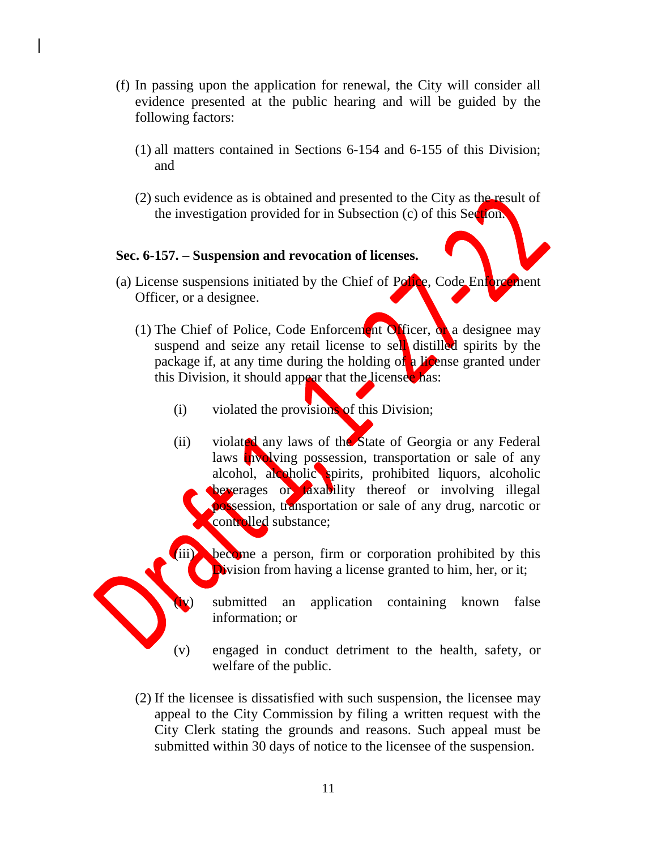- (f) In passing upon the application for renewal, the City will consider all evidence presented at the public hearing and will be guided by the following factors:
	- (1) all matters contained in Sections 6-154 and 6-155 of this Division; and
	- (2) such evidence as is obtained and presented to the City as the result of the investigation provided for in Subsection (c) of this Section.

## **Sec. 6-157. – Suspension and revocation of licenses.**

- (a) License suspensions initiated by the Chief of Police, Code Enforcement Officer, or a designee.
	- (1) The Chief of Police, Code Enforcement Officer, or a designee may suspend and seize any retail license to sell distilled spirits by the package if, at any time during the holding of a *license granted under* this Division, it should appear that the licensee has:
		- (i) violated the provisions of this Division;
		- (ii) violated any laws of the State of Georgia or any Federal laws involving possession, transportation or sale of any alcohol, alcoholic spirits, prohibited liquors, alcoholic beverages or taxability thereof or involving illegal possession, transportation or sale of any drug, narcotic or controlled substance;
			- become a person, firm or corporation prohibited by this Division from having a license granted to him, her, or it;
				- submitted an application containing known false information; or
		- (v) engaged in conduct detriment to the health, safety, or welfare of the public.
	- (2) If the licensee is dissatisfied with such suspension, the licensee may appeal to the City Commission by filing a written request with the City Clerk stating the grounds and reasons. Such appeal must be submitted within 30 days of notice to the licensee of the suspension.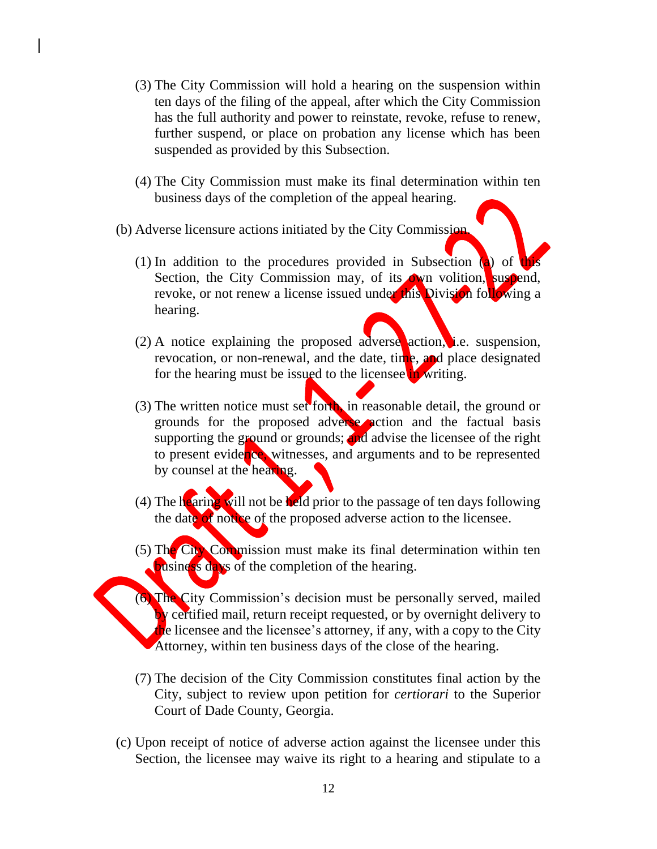- (3) The City Commission will hold a hearing on the suspension within ten days of the filing of the appeal, after which the City Commission has the full authority and power to reinstate, revoke, refuse to renew, further suspend, or place on probation any license which has been suspended as provided by this Subsection.
- (4) The City Commission must make its final determination within ten business days of the completion of the appeal hearing.
- (b) Adverse licensure actions initiated by the City Commission.
	- (1) In addition to the procedures provided in Subsection  $\langle \mathbf{a} \rangle$  of Section, the City Commission may, of its own volition, suspend, revoke, or not renew a license issued under this Division following a hearing.
	- (2) A notice explaining the proposed adverse action, i.e. suspension, revocation, or non-renewal, and the date, time, and place designated for the hearing must be issued to the licensee in writing.
	- (3) The written notice must set forth, in reasonable detail, the ground or grounds for the proposed adverse action and the factual basis supporting the ground or grounds; and advise the licensee of the right to present evidence, witnesses, and arguments and to be represented by counsel at the hearing.
	- (4) The hearing will not be held prior to the passage of ten days following the date of notice of the proposed adverse action to the licensee.
	- (5) The City Commission must make its final determination within ten business days of the completion of the hearing.
	- (6) The City Commission's decision must be personally served, mailed by certified mail, return receipt requested, or by overnight delivery to  $t$ he licensee and the licensee's attorney, if any, with a copy to the City Attorney, within ten business days of the close of the hearing.
		- (7) The decision of the City Commission constitutes final action by the City, subject to review upon petition for *certiorari* to the Superior Court of Dade County, Georgia.
- (c) Upon receipt of notice of adverse action against the licensee under this Section, the licensee may waive its right to a hearing and stipulate to a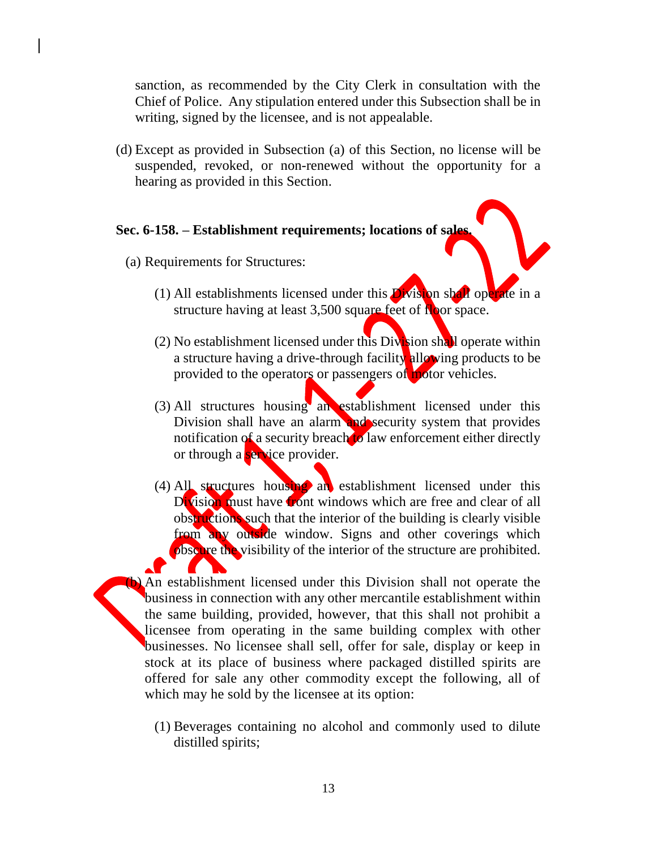sanction, as recommended by the City Clerk in consultation with the Chief of Police. Any stipulation entered under this Subsection shall be in writing, signed by the licensee, and is not appealable.

(d) Except as provided in Subsection (a) of this Section, no license will be suspended, revoked, or non-renewed without the opportunity for a hearing as provided in this Section.

# **Sec. 6-158. – Establishment requirements; locations of sales.**

- (a) Requirements for Structures:
	- (1) All establishments licensed under this  $\overline{D}$  vision shall operate in a structure having at least 3,500 square feet of Noor space.
	- (2) No establishment licensed under this Division shall operate within a structure having a drive-through facility allowing products to be provided to the operators or passengers of motor vehicles.
	- (3) All structures housing an establishment licensed under this Division shall have an alarm and security system that provides notification of a security breach to law enforcement either directly or through a **service** provider.
	- (4) All structures housing an establishment licensed under this Division must have front windows which are free and clear of all obstructions such that the interior of the building is clearly visible from any outside window. Signs and other coverings which obscure the visibility of the interior of the structure are prohibited.

An establishment licensed under this Division shall not operate the business in connection with any other mercantile establishment within the same building, provided, however, that this shall not prohibit a licensee from operating in the same building complex with other businesses. No licensee shall sell, offer for sale, display or keep in stock at its place of business where packaged distilled spirits are offered for sale any other commodity except the following, all of which may he sold by the licensee at its option:

(1) Beverages containing no alcohol and commonly used to dilute distilled spirits;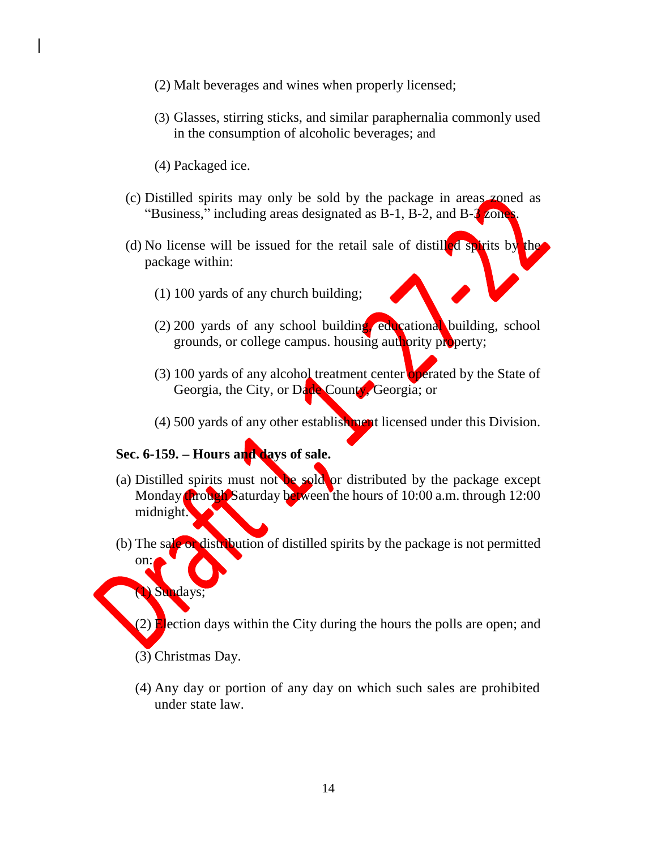- (2) Malt beverages and wines when properly licensed;
- (3) Glasses, stirring sticks, and similar paraphernalia commonly used in the consumption of alcoholic beverages; and
- (4) Packaged ice.
- (c) Distilled spirits may only be sold by the package in areas zoned as "Business," including areas designated as  $B-1$ ,  $B-2$ , and  $B-3$  zone
- (d) No license will be issued for the retail sale of distilled spirits by the package within:
	- (1) 100 yards of any church building;
	- (2) 200 yards of any school building, educational building, school grounds, or college campus. housing authority property;
	- (3) 100 yards of any alcohol treatment center operated by the State of Georgia, the City, or Dade County, Georgia; or
	- (4) 500 yards of any other establishment licensed under this Division.

#### **Sec. 6-159. – Hours and days of sale.**

- (a) Distilled spirits must not be sold or distributed by the package except Monday **through** Saturday between the hours of 10:00 a.m. through 12:00 midnight.
- (b) The sale or distribution of distilled spirits by the package is not permitted on:

#### (1) Sundays;

 $(2)$  Election days within the City during the hours the polls are open; and

(3) Christmas Day.

(4) Any day or portion of any day on which such sales are prohibited under state law.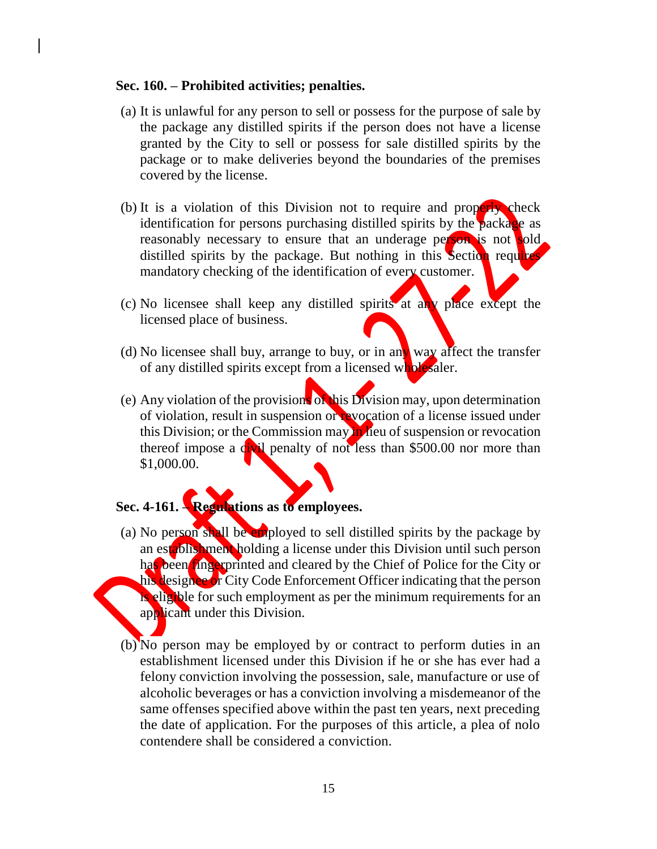#### **Sec. 160. – Prohibited activities; penalties.**

- (a) It is unlawful for any person to sell or possess for the purpose of sale by the package any distilled spirits if the person does not have a license granted by the City to sell or possess for sale distilled spirits by the package or to make deliveries beyond the boundaries of the premises covered by the license.
- (b) It is a violation of this Division not to require and properly check identification for persons purchasing distilled spirits by the package as reasonably necessary to ensure that an underage person is not sold. distilled spirits by the package. But nothing in this Section requires mandatory checking of the identification of every customer.
- (c) No licensee shall keep any distilled spirits at any place except the licensed place of business.
- (d) No licensee shall buy, arrange to buy, or in any way affect the transfer of any distilled spirits except from a licensed wholesaler.
- (e) Any violation of the provisions of this Division may, upon determination of violation, result in suspension or revocation of a license issued under this Division; or the Commission may in lieu of suspension or revocation thereof impose a civil penalty of not less than \$500.00 nor more than \$1,000.00.

# **Sec. 4-161. – Regulations as to employees.**

- (a) No person shall be employed to sell distilled spirits by the package by an establishment holding a license under this Division until such person has been fingerprinted and cleared by the Chief of Police for the City or his designee or City Code Enforcement Officer indicating that the person is eligible for such employment as per the minimum requirements for an applicant under this Division.
- (b) No person may be employed by or contract to perform duties in an establishment licensed under this Division if he or she has ever had a felony conviction involving the possession, sale, manufacture or use of alcoholic beverages or has a conviction involving a misdemeanor of the same offenses specified above within the past ten years, next preceding the date of application. For the purposes of this article, a plea of nolo contendere shall be considered a conviction.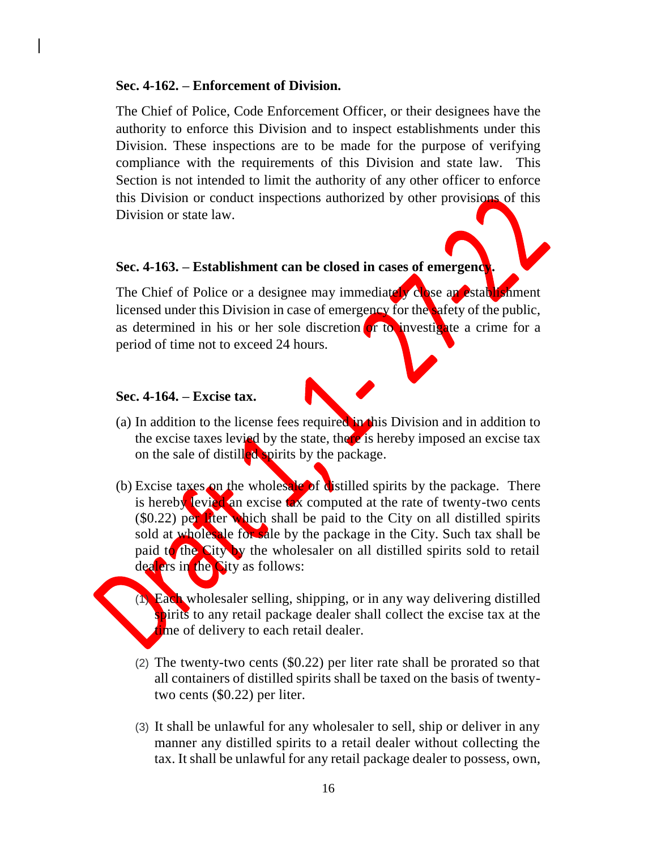#### **Sec. 4-162. – Enforcement of Division.**

The Chief of Police, Code Enforcement Officer, or their designees have the authority to enforce this Division and to inspect establishments under this Division. These inspections are to be made for the purpose of verifying compliance with the requirements of this Division and state law. This Section is not intended to limit the authority of any other officer to enforce this Division or conduct inspections authorized by other provisions of this Division or state law.

# **Sec. 4-163. – Establishment can be closed in cases of emergency.**

The Chief of Police or a designee may immediately close an establishment licensed under this Division in case of emergency for the safety of the public, as determined in his or her sole discretion or to investigate a crime for a period of time not to exceed 24 hours.

# **Sec. 4-164. – Excise tax.**

- (a) In addition to the license fees required in this Division and in addition to the excise taxes levied by the state, there is hereby imposed an excise tax on the sale of distilled spirits by the package.
- (b) Excise taxes on the wholesale of distilled spirits by the package. There is hereby levied an excise tax computed at the rate of twenty-two cents  $(90.22)$  per liter which shall be paid to the City on all distilled spirits sold at wholes ale for sale by the package in the City. Such tax shall be paid to the City by the wholesaler on all distilled spirits sold to retail dealers in the City as follows:
	- (1) Each wholesaler selling, shipping, or in any way delivering distilled spirits to any retail package dealer shall collect the excise tax at the time of delivery to each retail dealer.
	- (2) The twenty-two cents (\$0.22) per liter rate shall be prorated so that all containers of distilled spirits shall be taxed on the basis of twentytwo cents (\$0.22) per liter.
	- (3) It shall be unlawful for any wholesaler to sell, ship or deliver in any manner any distilled spirits to a retail dealer without collecting the tax. It shall be unlawful for any retail package dealer to possess, own,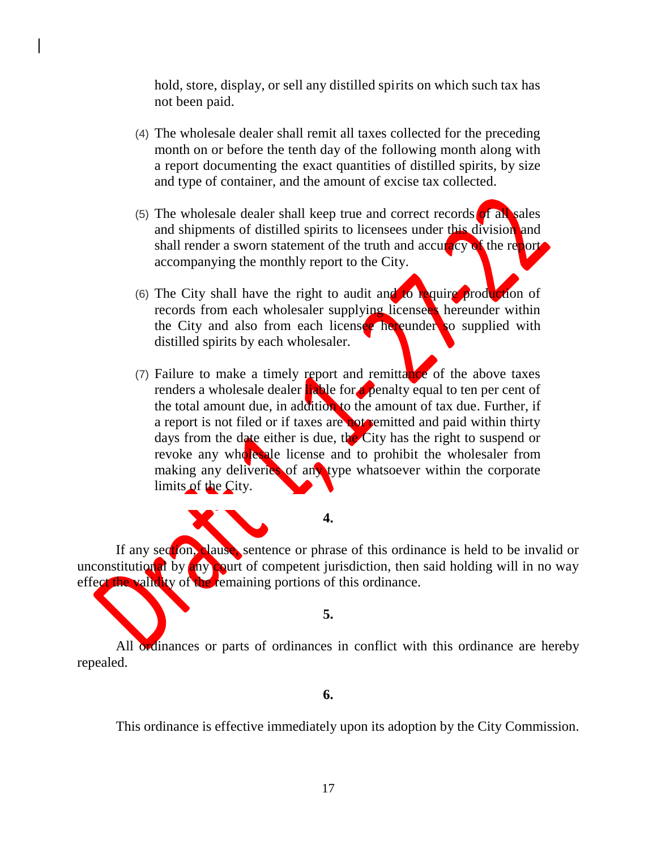hold, store, display, or sell any distilled spirits on which such tax has not been paid.

- (4) The wholesale dealer shall remit all taxes collected for the preceding month on or before the tenth day of the following month along with a report documenting the exact quantities of distilled spirits, by size and type of container, and the amount of excise tax collected.
- (5) The wholesale dealer shall keep true and correct records of all sales and shipments of distilled spirits to licensees under this division and shall render a sworn statement of the truth and accuracy of the report accompanying the monthly report to the City.
- (6) The City shall have the right to audit and to require production of records from each wholesaler supplying licensees hereunder within the City and also from each licensee hereunder so supplied with distilled spirits by each wholesaler.
- (7) Failure to make a timely report and remittance of the above taxes renders a wholesale dealer liable for a penalty equal to ten per cent of the total amount due, in addition to the amount of tax due. Further, if a report is not filed or if taxes are not remitted and paid within thirty days from the date either is due, the City has the right to suspend or revoke any wholesale license and to prohibit the wholesaler from making any deliveries of any type whatsoever within the corporate limits of the City.

**4.**

If any section, clause, sentence or phrase of this ordinance is held to be invalid or unconstitutional by any court of competent jurisdiction, then said holding will in no way effect the validity of the remaining portions of this ordinance.

#### **5.**

All ordinances or parts of ordinances in conflict with this ordinance are hereby repealed.

#### **6.**

This ordinance is effective immediately upon its adoption by the City Commission.